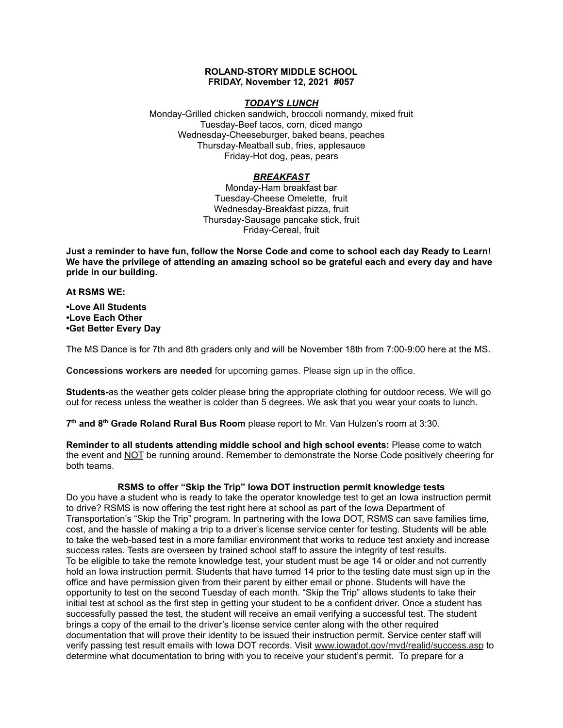# **ROLAND-STORY MIDDLE SCHOOL FRIDAY, November 12, 2021 #057**

#### *TODAY'S LUNCH*

Monday-Grilled chicken sandwich, broccoli normandy, mixed fruit Tuesday-Beef tacos, corn, diced mango Wednesday-Cheeseburger, baked beans, peaches Thursday-Meatball sub, fries, applesauce Friday-Hot dog, peas, pears

# *BREAKFAST*

Monday-Ham breakfast bar Tuesday-Cheese Omelette, fruit Wednesday-Breakfast pizza, fruit Thursday-Sausage pancake stick, fruit Friday-Cereal, fruit

Just a reminder to have fun, follow the Norse Code and come to school each day Ready to Learn! **We have the privilege of attending an amazing school so be grateful each and every day and have pride in our building.**

#### **At RSMS WE:**

**•Love All Students •Love Each Other •Get Better Every Day**

The MS Dance is for 7th and 8th graders only and will be November 18th from 7:00-9:00 here at the MS.

**Concessions workers are needed** for upcoming games. Please sign up in the office.

**Students-**as the weather gets colder please bring the appropriate clothing for outdoor recess. We will go out for recess unless the weather is colder than 5 degrees. We ask that you wear your coats to lunch.

**7 th and 8 th Grade Roland Rural Bus Room** please report to Mr. Van Hulzen's room at 3:30.

**Reminder to all students attending middle school and high school events:** Please come to watch the event and NOT be running around. Remember to demonstrate the Norse Code positively cheering for both teams.

# **RSMS to offer "Skip the Trip" Iowa DOT instruction permit knowledge tests**

Do you have a student who is ready to take the operator knowledge test to get an Iowa instruction permit to drive? RSMS is now offering the test right here at school as part of the Iowa Department of Transportation's "Skip the Trip" program. In partnering with the Iowa DOT, RSMS can save families time, cost, and the hassle of making a trip to a driver's license service center for testing. Students will be able to take the web-based test in a more familiar environment that works to reduce test anxiety and increase success rates. Tests are overseen by trained school staff to assure the integrity of test results. To be eligible to take the remote knowledge test, your student must be age 14 or older and not currently hold an Iowa instruction permit. Students that have turned 14 prior to the testing date must sign up in the office and have permission given from their parent by either email or phone. Students will have the opportunity to test on the second Tuesday of each month. "Skip the Trip" allows students to take their initial test at school as the first step in getting your student to be a confident driver. Once a student has successfully passed the test, the student will receive an email verifying a successful test. The student brings a copy of the email to the driver's license service center along with the other required documentation that will prove their identity to be issued their instruction permit. Service center staff will verify passing test result emails with Iowa DOT records. Visit [www.iowadot.gov/mvd/realid/success.asp](http://www.iowadot.gov/mvd/realid/success.asp) to determine what documentation to bring with you to receive your student's permit. To prepare for a